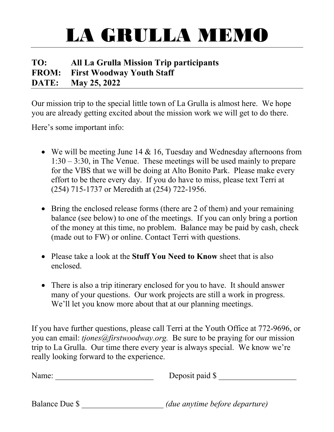## LA GRULLA MEMO

### **TO: All La Grulla Mission Trip participants FROM: First Woodway Youth Staff DATE: May 25, 2022**

Our mission trip to the special little town of La Grulla is almost here. We hope you are already getting excited about the mission work we will get to do there.

Here's some important info:

- We will be meeting June 14 & 16, Tuesday and Wednesday afternoons from 1:30 – 3:30, in The Venue. These meetings will be used mainly to prepare for the VBS that we will be doing at Alto Bonito Park. Please make every effort to be there every day. If you do have to miss, please text Terri at (254) 715-1737 or Meredith at (254) 722-1956.
- Bring the enclosed release forms (there are 2 of them) and your remaining balance (see below) to one of the meetings. If you can only bring a portion of the money at this time, no problem. Balance may be paid by cash, check (made out to FW) or online. Contact Terri with questions.
- Please take a look at the **Stuff You Need to Know** sheet that is also enclosed.
- There is also a trip itinerary enclosed for you to have. It should answer many of your questions. Our work projects are still a work in progress. We'll let you know more about that at our planning meetings.

If you have further questions, please call Terri at the Youth Office at 772-9696, or you can email: *tjones@firstwoodway.org.* Be sure to be praying for our mission trip to La Grulla. Our time there every year is always special. We know we're really looking forward to the experience.

| Name: | Deposit paid \$<br>- |
|-------|----------------------|
|       |                      |

Balance Due \$ \_\_\_\_\_\_\_\_\_\_\_\_\_\_\_\_\_\_\_\_ *(due anytime before departure)*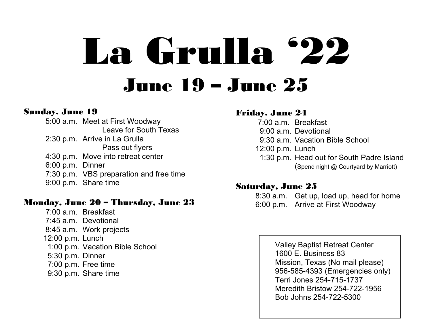# La Grulla '22 June 19 – June 25

### Sunday, June 19

5:00 a.m. Meet at First Woodway Leave for South Texas 2:30 p.m. Arrive in La Grulla Pass out flyers 4:30 p.m. Move into retreat center 6:00 p.m. Dinner 7:30 p.m. VBS preparation and free time 9:00 p.m. Share time

### Monday, June 20 – Thursday, June 23

7:00 a.m. Breakfast 7:45 a.m. Devotional 8:45 a.m. Work projects 12:00 p.m. Lunch 1:00 p.m. Vacation Bible School 5:30 p.m. Dinner 7:00 p.m. Free time 9:30 p.m. Share time

### Friday, June 24

 7:00 a.m. Breakfast 9:00 a.m. Devotional 9:30 a.m. Vacation Bible School 12:00 p.m. Lunch 1:30 p.m. Head out for South Padre Island (Spend night @ Courtyard by Marriott)

### Saturday, June 25

8:30 a.m. Get up, load up, head for home 6:00 p.m. Arrive at First Woodway

> Valley Baptist Retreat Center 1600 E. Business 83 Mission, Texas (No mail please) 956-585-4393 (Emergencies only) Terri Jones 254-715-1737 Meredith Bristow 254-722-1956 Bob Johns 254-722-5300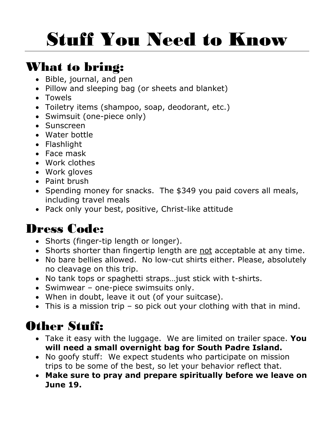# Stuff You Need to Know

### What to bring:

- Bible, journal, and pen
- Pillow and sleeping bag (or sheets and blanket)
- Towels
- Toiletry items (shampoo, soap, deodorant, etc.)
- Swimsuit (one-piece only)
- Sunscreen
- Water bottle
- Flashlight
- Face mask
- Work clothes
- Work gloves
- Paint brush
- Spending money for snacks. The \$349 you paid covers all meals, including travel meals
- Pack only your best, positive, Christ-like attitude

### Dress Code:

- Shorts (finger-tip length or longer).
- Shorts shorter than fingertip length are not acceptable at any time.
- No bare bellies allowed. No low-cut shirts either. Please, absolutely no cleavage on this trip.
- No tank tops or spaghetti straps…just stick with t-shirts.
- Swimwear one-piece swimsuits only.
- When in doubt, leave it out (of your suitcase).
- This is a mission trip so pick out your clothing with that in mind.

### Other Stuff:

- Take it easy with the luggage. We are limited on trailer space. **You will need a small overnight bag for South Padre Island.**
- No goofy stuff: We expect students who participate on mission trips to be some of the best, so let your behavior reflect that.
- **Make sure to pray and prepare spiritually before we leave on June 19.**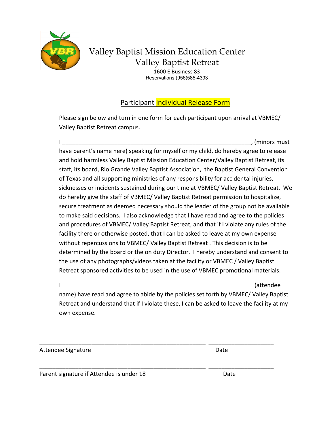

### Valley Baptist Mission Education Center Valley Baptist Retreat

1600 E Business 83 Reservations (956)585-4393

#### Participant Individual Release Form

Please sign below and turn in one form for each participant upon arrival at VBMEC/ Valley Baptist Retreat campus.

 $\blacksquare$ have parent's name here) speaking for myself or my child, do hereby agree to release and hold harmless Valley Baptist Mission Education Center/Valley Baptist Retreat, its staff, its board, Rio Grande Valley Baptist Association, the Baptist General Convention of Texas and all supporting ministries of any responsibility for accidental injuries, sicknesses or incidents sustained during our time at VBMEC/ Valley Baptist Retreat. We do hereby give the staff of VBMEC/ Valley Baptist Retreat permission to hospitalize, secure treatment as deemed necessary should the leader of the group not be available to make said decisions. I also acknowledge that I have read and agree to the policies and procedures of VBMEC/ Valley Baptist Retreat, and that if I violate any rules of the facility there or otherwise posted, that I can be asked to leave at my own expense without repercussions to VBMEC/ Valley Baptist Retreat . This decision is to be determined by the board or the on duty Director. I hereby understand and consent to the use of any photographs/videos taken at the facility or VBMEC / Valley Baptist Retreat sponsored activities to be used in the use of VBMEC promotional materials.

 $\Box$ name) have read and agree to abide by the policies set forth by VBMEC/ Valley Baptist Retreat and understand that if I violate these, I can be asked to leave the facility at my own expense.

\_\_\_\_\_\_\_\_\_\_\_\_\_\_\_\_\_\_\_\_\_\_\_\_\_\_\_\_\_\_\_\_\_\_\_\_\_\_\_\_\_\_\_\_\_\_\_\_\_\_\_ \_\_\_\_\_\_\_\_\_\_\_\_\_\_\_\_\_\_\_\_

\_\_\_\_\_\_\_\_\_\_\_\_\_\_\_\_\_\_\_\_\_\_\_\_\_\_\_\_\_\_\_\_\_\_\_\_\_\_\_\_\_\_\_\_\_\_\_\_\_\_\_ \_\_\_\_\_\_\_\_\_\_\_\_\_\_\_\_\_\_\_\_

Attendee Signature Date

Parent signature if Attendee is under 18 Date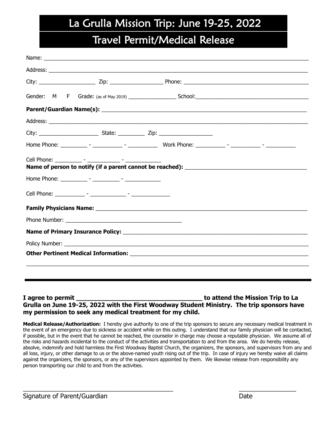### La Grulla Mission Trip: June 19-25, 2022

### Travel Permit/Medical Release

#### **I agree to permit \_\_\_\_\_\_\_\_\_\_\_\_\_\_\_\_\_\_\_\_\_\_\_\_\_\_\_\_\_\_\_\_\_ to attend the Mission Trip to La Grulla on June 19-25, 2022 with the First Woodway Student Ministry. The trip sponsors have my permission to seek any medical treatment for my child.**

**Medical Release/Authorization:** I hereby give authority to one of the trip sponsors to secure any necessary medical treatment in the event of an emergency due to sickness or accident while on this outing. I understand that our family physician will be contacted, if possible, but in the event that he cannot be reached, the counselor in charge may choose a reputable physician. We assume all of the risks and hazards incidental to the conduct of the activities and transportation to and from the area. We do hereby release, absolve, indemnify and hold harmless the First Woodway Baptist Church, the organizers, the sponsors, and supervisors from any and all loss, injury, or other damage to us or the above-named youth rising out of the trip. In case of injury we hereby waive all claims against the organizers, the sponsors, or any of the supervisors appointed by them. We likewise release from responsibility any person transporting our child to and from the activities.

 $\frac{1}{2}$  ,  $\frac{1}{2}$  ,  $\frac{1}{2}$  ,  $\frac{1}{2}$  ,  $\frac{1}{2}$  ,  $\frac{1}{2}$  ,  $\frac{1}{2}$  ,  $\frac{1}{2}$  ,  $\frac{1}{2}$  ,  $\frac{1}{2}$  ,  $\frac{1}{2}$  ,  $\frac{1}{2}$  ,  $\frac{1}{2}$  ,  $\frac{1}{2}$  ,  $\frac{1}{2}$  ,  $\frac{1}{2}$  ,  $\frac{1}{2}$  ,  $\frac{1}{2}$  ,  $\frac{1$